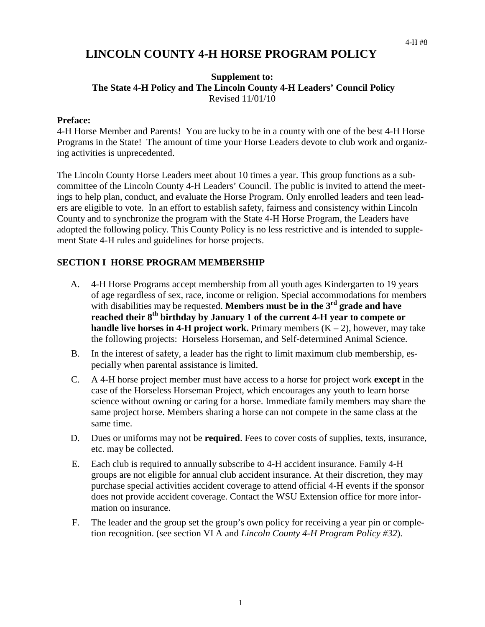# **LINCOLN COUNTY 4-H HORSE PROGRAM POLICY**

#### **Supplement to: The State 4-H Policy and The Lincoln County 4-H Leaders' Council Policy**  Revised 11/01/10

#### **Preface:**

4-H Horse Member and Parents! You are lucky to be in a county with one of the best 4-H Horse Programs in the State! The amount of time your Horse Leaders devote to club work and organizing activities is unprecedented.

The Lincoln County Horse Leaders meet about 10 times a year. This group functions as a subcommittee of the Lincoln County 4-H Leaders' Council. The public is invited to attend the meetings to help plan, conduct, and evaluate the Horse Program. Only enrolled leaders and teen leaders are eligible to vote. In an effort to establish safety, fairness and consistency within Lincoln County and to synchronize the program with the State 4-H Horse Program, the Leaders have adopted the following policy. This County Policy is no less restrictive and is intended to supplement State 4-H rules and guidelines for horse projects.

#### **SECTION I HORSE PROGRAM MEMBERSHIP**

- A. 4-H Horse Programs accept membership from all youth ages Kindergarten to 19 years of age regardless of sex, race, income or religion. Special accommodations for members with disabilities may be requested. **Members must be in the 3<sup>rd</sup> grade and have** reached their 8<sup>th</sup> birthday by January 1 of the current 4-H year to compete or **handle live horses in 4-H project work.** Primary members  $(K - 2)$ , however, may take the following projects: Horseless Horseman, and Self-determined Animal Science.
- B. In the interest of safety, a leader has the right to limit maximum club membership, especially when parental assistance is limited.
- C. A 4-H horse project member must have access to a horse for project work **except** in the case of the Horseless Horseman Project, which encourages any youth to learn horse science without owning or caring for a horse. Immediate family members may share the same project horse. Members sharing a horse can not compete in the same class at the same time.
- D. Dues or uniforms may not be **required**. Fees to cover costs of supplies, texts, insurance, etc. may be collected.
- E. Each club is required to annually subscribe to 4-H accident insurance. Family 4-H groups are not eligible for annual club accident insurance. At their discretion, they may purchase special activities accident coverage to attend official 4-H events if the sponsor does not provide accident coverage. Contact the WSU Extension office for more information on insurance.
- F. The leader and the group set the group's own policy for receiving a year pin or completion recognition. (see section VI A and *Lincoln County 4-H Program Policy #32*).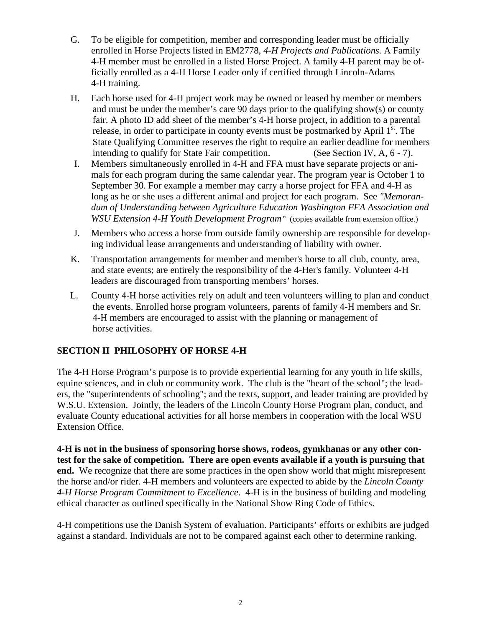- G. To be eligible for competition, member and corresponding leader must be officially enrolled in Horse Projects listed in EM2778, *4-H Projects and Publications.* A Family 4-H member must be enrolled in a listed Horse Project. A family 4-H parent may be officially enrolled as a 4-H Horse Leader only if certified through Lincoln-Adams 4-H training.
- H. Each horse used for 4-H project work may be owned or leased by member or members and must be under the member's care 90 days prior to the qualifying show(s) or county fair. A photo ID add sheet of the member's 4-H horse project, in addition to a parental release, in order to participate in county events must be postmarked by April  $1^{st}$ . The State Qualifying Committee reserves the right to require an earlier deadline for members intending to qualify for State Fair competition. (See Section IV, A, 6 - 7).
- I. Members simultaneously enrolled in 4-H and FFA must have separate projects or animals for each program during the same calendar year. The program year is October 1 to September 30. For example a member may carry a horse project for FFA and 4-H as long as he or she uses a different animal and project for each program. See *"Memorandum of Understanding between Agriculture Education Washington FFA Association and WSU Extension 4-H Youth Development Program"* (copies available from extension office.)
- J. Members who access a horse from outside family ownership are responsible for developing individual lease arrangements and understanding of liability with owner.
- K. Transportation arrangements for member and member's horse to all club, county, area, and state events; are entirely the responsibility of the 4-Her's family. Volunteer 4-H leaders are discouraged from transporting members' horses.
- L. County 4-H horse activities rely on adult and teen volunteers willing to plan and conduct the events. Enrolled horse program volunteers, parents of family 4-H members and Sr. 4-H members are encouraged to assist with the planning or management of horse activities.

# **SECTION II PHILOSOPHY OF HORSE 4-H**

The 4-H Horse Program's purpose is to provide experiential learning for any youth in life skills, equine sciences, and in club or community work. The club is the "heart of the school"; the leaders, the "superintendents of schooling"; and the texts, support, and leader training are provided by W.S.U. Extension. Jointly, the leaders of the Lincoln County Horse Program plan, conduct, and evaluate County educational activities for all horse members in cooperation with the local WSU Extension Office.

**4-H is not in the business of sponsoring horse shows, rodeos, gymkhanas or any other contest for the sake of competition. There are open events available if a youth is pursuing that end.** We recognize that there are some practices in the open show world that might misrepresent the horse and/or rider. 4-H members and volunteers are expected to abide by the *Lincoln County 4-H Horse Program Commitment to Excellence*. 4-H is in the business of building and modeling ethical character as outlined specifically in the National Show Ring Code of Ethics.

4-H competitions use the Danish System of evaluation. Participants' efforts or exhibits are judged against a standard. Individuals are not to be compared against each other to determine ranking.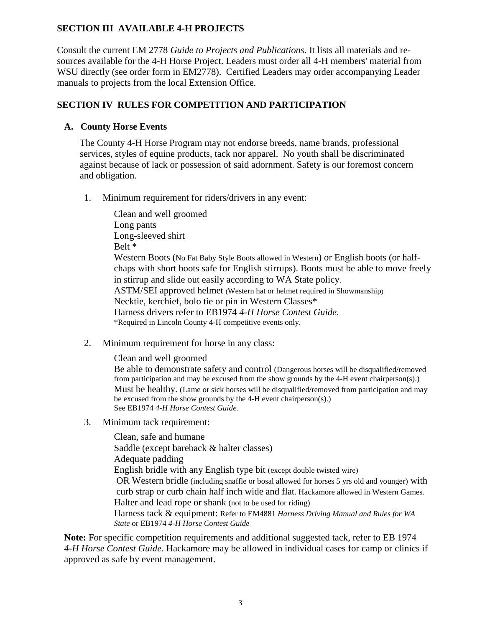# **SECTION III AVAILABLE 4-H PROJECTS**

Consult the current EM 2778 *Guide to Projects and Publications*. It lists all materials and resources available for the 4-H Horse Project. Leaders must order all 4-H members' material from WSU directly (see order form in EM2778). Certified Leaders may order accompanying Leader manuals to projects from the local Extension Office.

### **SECTION IV RULES FOR COMPETITION AND PARTICIPATION**

### **A. County Horse Events**

The County 4-H Horse Program may not endorse breeds, name brands, professional services, styles of equine products, tack nor apparel. No youth shall be discriminated against because of lack or possession of said adornment. Safety is our foremost concern and obligation.

1. Minimum requirement for riders/drivers in any event:

Clean and well groomed Long pants Long-sleeved shirt Belt \* Western Boots (No Fat Baby Style Boots allowed in Western) or English boots (or halfchaps with short boots safe for English stirrups). Boots must be able to move freely in stirrup and slide out easily according to WA State policy. ASTM/SEI approved helmet (Western hat or helmet required in Showmanship) Necktie, kerchief, bolo tie or pin in Western Classes\* Harness drivers refer to EB1974 *4-H Horse Contest Guide*. \*Required in Lincoln County 4-H competitive events only.

2. Minimum requirement for horse in any class:

Clean and well groomed

Be able to demonstrate safety and control (Dangerous horses will be disqualified/removed from participation and may be excused from the show grounds by the 4-H event chairperson(s).) Must be healthy. (Lame or sick horses will be disqualified/removed from participation and may be excused from the show grounds by the 4-H event chairperson(s).) See EB1974 *4-H Horse Contest Guide.*

3. Minimum tack requirement:

Clean, safe and humane Saddle (except bareback & halter classes) Adequate padding English bridle with any English type bit (except double twisted wire) OR Western bridle (including snaffle or bosal allowed for horses 5 yrs old and younger) with curb strap or curb chain half inch wide and flat. Hackamore allowed in Western Games. Halter and lead rope or shank (not to be used for riding) Harness tack & equipment: Refer to EM4881 *Harness Driving Manual and Rules for WA State* or EB1974 *4-H Horse Contest Guide*

**Note:** For specific competition requirements and additional suggested tack, refer to EB 1974 *4-H Horse Contest Guide.* Hackamore may be allowed in individual cases for camp or clinics if approved as safe by event management.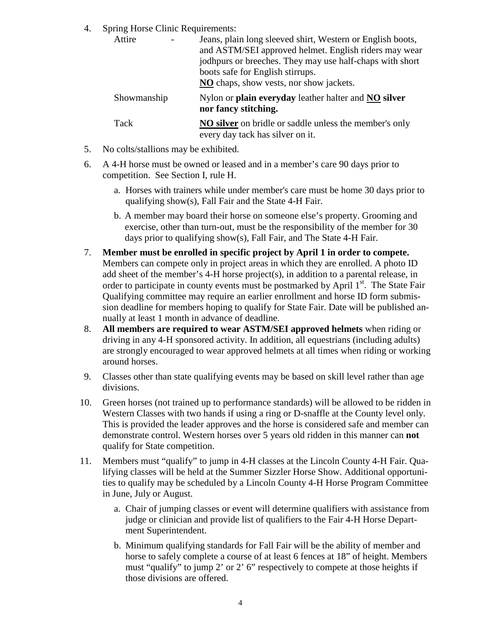4. Spring Horse Clinic Requirements:

| Attire      | Jeans, plain long sleeved shirt, Western or English boots,<br>and ASTM/SEI approved helmet. English riders may wear<br>jodhpurs or breeches. They may use half-chaps with short<br>boots safe for English stirrups.<br>NO chaps, show vests, nor show jackets. |
|-------------|----------------------------------------------------------------------------------------------------------------------------------------------------------------------------------------------------------------------------------------------------------------|
| Showmanship | Nylon or plain everyday leather halter and NO silver<br>nor fancy stitching.                                                                                                                                                                                   |
| Tack        | <b>NO silver</b> on bridle or saddle unless the member's only<br>every day tack has silver on it.                                                                                                                                                              |

- 5. No colts/stallions may be exhibited.
- 6. A 4-H horse must be owned or leased and in a member's care 90 days prior to competition. See Section I, rule H.
	- a. Horses with trainers while under member's care must be home 30 days prior to qualifying show(s), Fall Fair and the State 4-H Fair.
	- b. A member may board their horse on someone else's property. Grooming and exercise, other than turn-out, must be the responsibility of the member for 30 days prior to qualifying show(s), Fall Fair, and The State 4-H Fair.
- 7. **Member must be enrolled in specific project by April 1 in order to compete.** Members can compete only in project areas in which they are enrolled. A photo ID add sheet of the member's 4-H horse project(s), in addition to a parental release, in order to participate in county events must be postmarked by April 1<sup>st</sup>. The State Fair Qualifying committee may require an earlier enrollment and horse ID form submission deadline for members hoping to qualify for State Fair. Date will be published annually at least 1 month in advance of deadline.
- 8. **All members are required to wear ASTM/SEI approved helmets** when riding or driving in any 4-H sponsored activity. In addition, all equestrians (including adults) are strongly encouraged to wear approved helmets at all times when riding or working around horses.
- 9. Classes other than state qualifying events may be based on skill level rather than age divisions.
- 10. Green horses (not trained up to performance standards) will be allowed to be ridden in Western Classes with two hands if using a ring or D-snaffle at the County level only. This is provided the leader approves and the horse is considered safe and member can demonstrate control. Western horses over 5 years old ridden in this manner can **not** qualify for State competition.
- 11. Members must "qualify" to jump in 4-H classes at the Lincoln County 4-H Fair. Qualifying classes will be held at the Summer Sizzler Horse Show. Additional opportunities to qualify may be scheduled by a Lincoln County 4-H Horse Program Committee in June, July or August.
	- a. Chair of jumping classes or event will determine qualifiers with assistance from judge or clinician and provide list of qualifiers to the Fair 4-H Horse Department Superintendent.
	- b. Minimum qualifying standards for Fall Fair will be the ability of member and horse to safely complete a course of at least 6 fences at 18" of height. Members must "qualify" to jump 2' or 2' 6" respectively to compete at those heights if those divisions are offered.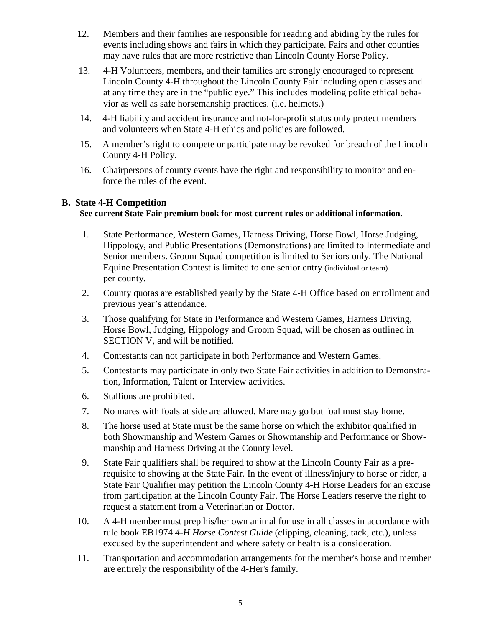- 12. Members and their families are responsible for reading and abiding by the rules for events including shows and fairs in which they participate. Fairs and other counties may have rules that are more restrictive than Lincoln County Horse Policy.
- 13. 4-H Volunteers, members, and their families are strongly encouraged to represent Lincoln County 4-H throughout the Lincoln County Fair including open classes and at any time they are in the "public eye." This includes modeling polite ethical behavior as well as safe horsemanship practices. (i.e. helmets.)
- 14. 4-H liability and accident insurance and not-for-profit status only protect members and volunteers when State 4-H ethics and policies are followed.
- 15. A member's right to compete or participate may be revoked for breach of the Lincoln County 4-H Policy.
- 16. Chairpersons of county events have the right and responsibility to monitor and enforce the rules of the event.

#### **B. State 4-H Competition**

#### **See current State Fair premium book for most current rules or additional information.**

- 1. State Performance, Western Games, Harness Driving, Horse Bowl, Horse Judging, Hippology, and Public Presentations (Demonstrations) are limited to Intermediate and Senior members. Groom Squad competition is limited to Seniors only. The National Equine Presentation Contest is limited to one senior entry (individual or team) per county.
- 2. County quotas are established yearly by the State 4-H Office based on enrollment and previous year's attendance.
- 3. Those qualifying for State in Performance and Western Games, Harness Driving, Horse Bowl, Judging, Hippology and Groom Squad, will be chosen as outlined in SECTION V, and will be notified.
- 4. Contestants can not participate in both Performance and Western Games.
- 5. Contestants may participate in only two State Fair activities in addition to Demonstration, Information, Talent or Interview activities.
- 6. Stallions are prohibited.
- 7. No mares with foals at side are allowed. Mare may go but foal must stay home.
- 8. The horse used at State must be the same horse on which the exhibitor qualified in both Showmanship and Western Games or Showmanship and Performance or Showmanship and Harness Driving at the County level.
- 9. State Fair qualifiers shall be required to show at the Lincoln County Fair as a prerequisite to showing at the State Fair. In the event of illness/injury to horse or rider, a State Fair Qualifier may petition the Lincoln County 4-H Horse Leaders for an excuse from participation at the Lincoln County Fair. The Horse Leaders reserve the right to request a statement from a Veterinarian or Doctor.
- 10. A 4-H member must prep his/her own animal for use in all classes in accordance with rule book EB1974 *4-H Horse Contest Guide* (clipping, cleaning, tack, etc.), unless excused by the superintendent and where safety or health is a consideration.
- 11. Transportation and accommodation arrangements for the member's horse and member are entirely the responsibility of the 4-Her's family.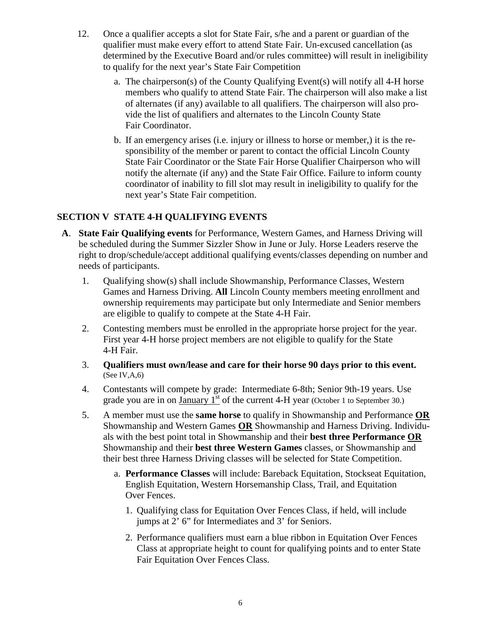- 12. Once a qualifier accepts a slot for State Fair, s/he and a parent or guardian of the qualifier must make every effort to attend State Fair. Un-excused cancellation (as determined by the Executive Board and/or rules committee) will result in ineligibility to qualify for the next year's State Fair Competition
	- a. The chairperson(s) of the County Qualifying Event(s) will notify all 4-H horse members who qualify to attend State Fair. The chairperson will also make a list of alternates (if any) available to all qualifiers. The chairperson will also provide the list of qualifiers and alternates to the Lincoln County State Fair Coordinator.
	- b. If an emergency arises (i.e. injury or illness to horse or member,) it is the responsibility of the member or parent to contact the official Lincoln County State Fair Coordinator or the State Fair Horse Qualifier Chairperson who will notify the alternate (if any) and the State Fair Office. Failure to inform county coordinator of inability to fill slot may result in ineligibility to qualify for the next year's State Fair competition.

# **SECTION V STATE 4-H QUALIFYING EVENTS**

- **A**. **State Fair Qualifying events** for Performance, Western Games, and Harness Driving will be scheduled during the Summer Sizzler Show in June or July. Horse Leaders reserve the right to drop/schedule/accept additional qualifying events/classes depending on number and needs of participants.
	- 1. Qualifying show(s) shall include Showmanship, Performance Classes, Western Games and Harness Driving. **All** Lincoln County members meeting enrollment and ownership requirements may participate but only Intermediate and Senior members are eligible to qualify to compete at the State 4-H Fair.
	- 2. Contesting members must be enrolled in the appropriate horse project for the year. First year 4-H horse project members are not eligible to qualify for the State 4-H Fair.
	- 3. **Qualifiers must own/lease and care for their horse 90 days prior to this event.**  (See IV,A,6)
	- 4. Contestants will compete by grade: Intermediate 6-8th; Senior 9th-19 years. Use grade you are in on  $\frac{January \, 1^{st}}{s}$  of the current 4-H year (October 1 to September 30.)
	- 5. A member must use the **same horse** to qualify in Showmanship and Performance **OR** Showmanship and Western Games **OR** Showmanship and Harness Driving. Individuals with the best point total in Showmanship and their **best three Performance OR** Showmanship and their **best three Western Games** classes, or Showmanship and their best three Harness Driving classes will be selected for State Competition.
		- a. **Performance Classes** will include: Bareback Equitation, Stockseat Equitation, English Equitation, Western Horsemanship Class, Trail, and Equitation Over Fences.
			- 1. Qualifying class for Equitation Over Fences Class, if held, will include jumps at 2' 6" for Intermediates and 3' for Seniors.
			- 2. Performance qualifiers must earn a blue ribbon in Equitation Over Fences Class at appropriate height to count for qualifying points and to enter State Fair Equitation Over Fences Class.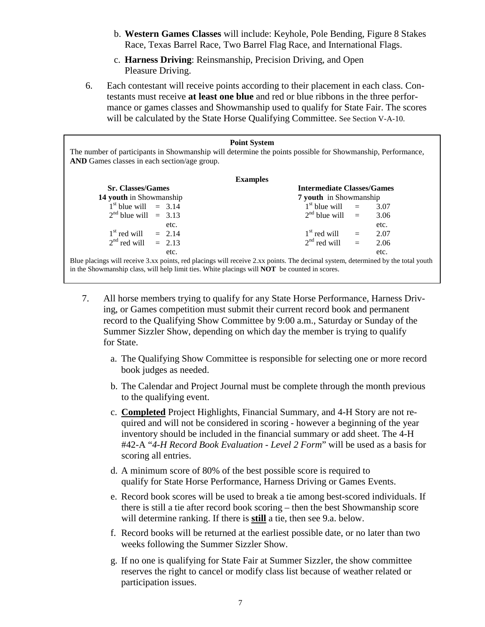- b. **Western Games Classes** will include: Keyhole, Pole Bending, Figure 8 Stakes Race, Texas Barrel Race, Two Barrel Flag Race, and International Flags.
- c. **Harness Driving**: Reinsmanship, Precision Driving, and Open Pleasure Driving.
- 6. Each contestant will receive points according to their placement in each class. Contestants must receive **at least one blue** and red or blue ribbons in the three performance or games classes and Showmanship used to qualify for State Fair. The scores will be calculated by the State Horse Qualifying Committee. See Section V-A-10.

| <b>Point System</b><br>The number of participants in Showmanship will determine the points possible for Showmanship, Performance,<br><b>AND</b> Games classes in each section/age group. |                                   |  |      |  |
|------------------------------------------------------------------------------------------------------------------------------------------------------------------------------------------|-----------------------------------|--|------|--|
| <b>Examples</b>                                                                                                                                                                          |                                   |  |      |  |
| <b>Sr. Classes/Games</b>                                                                                                                                                                 | <b>Intermediate Classes/Games</b> |  |      |  |
| 14 youth in Showmanship                                                                                                                                                                  | <b>7 youth</b> in Showmanship     |  |      |  |
| $1st$ blue will = 3.14                                                                                                                                                                   | $1st$ blue will $=$               |  | 3.07 |  |
| $2nd$ blue will = 3.13                                                                                                                                                                   | $2nd$ blue will $=$               |  | 3.06 |  |
| etc.                                                                                                                                                                                     |                                   |  | etc. |  |
| $1st$ red will = 2.14                                                                                                                                                                    | $1st$ red will $=$ 2.07           |  |      |  |
| $2nd$ red will = 2.13                                                                                                                                                                    | $2nd$ red will $=$                |  | 2.06 |  |
| etc.                                                                                                                                                                                     |                                   |  | etc. |  |
| Blue placings will receive 3.xx points, red placings will receive 2.xx points. The decimal system, determined by the total youth                                                         |                                   |  |      |  |
| in the Showmanship class, will help limit ties. White placings will <b>NOT</b> be counted in scores.                                                                                     |                                   |  |      |  |

- 7. All horse members trying to qualify for any State Horse Performance, Harness Driving, or Games competition must submit their current record book and permanent record to the Qualifying Show Committee by 9:00 a.m., Saturday or Sunday of the Summer Sizzler Show, depending on which day the member is trying to qualify for State.
	- a. The Qualifying Show Committee is responsible for selecting one or more record book judges as needed.
	- b. The Calendar and Project Journal must be complete through the month previous to the qualifying event.
	- c. **Completed** Project Highlights, Financial Summary, and 4-H Story are not required and will not be considered in scoring - however a beginning of the year inventory should be included in the financial summary or add sheet. The 4-H #42-A "*4-H Record Book Evaluation - Level 2 Form*" will be used as a basis for scoring all entries.
	- d. A minimum score of 80% of the best possible score is required to qualify for State Horse Performance, Harness Driving or Games Events.
	- e. Record book scores will be used to break a tie among best-scored individuals. If there is still a tie after record book scoring – then the best Showmanship score will determine ranking. If there is **still** a tie, then see 9.a. below.
	- f. Record books will be returned at the earliest possible date, or no later than two weeks following the Summer Sizzler Show.
	- g. If no one is qualifying for State Fair at Summer Sizzler, the show committee reserves the right to cancel or modify class list because of weather related or participation issues.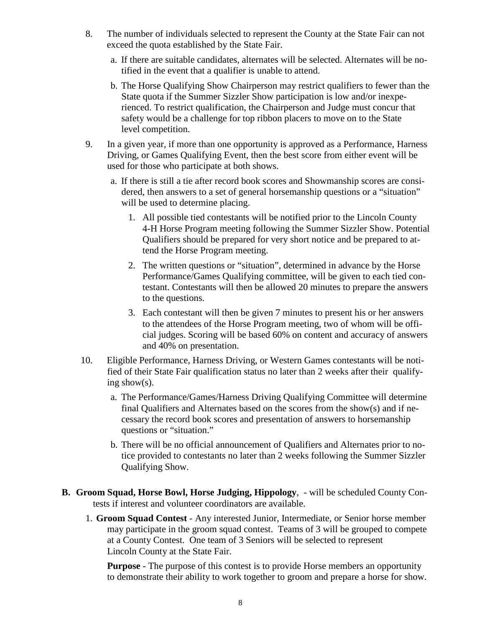- 8. The number of individuals selected to represent the County at the State Fair can not exceed the quota established by the State Fair.
	- a. If there are suitable candidates, alternates will be selected. Alternates will be notified in the event that a qualifier is unable to attend.
	- b. The Horse Qualifying Show Chairperson may restrict qualifiers to fewer than the State quota if the Summer Sizzler Show participation is low and/or inexperienced. To restrict qualification, the Chairperson and Judge must concur that safety would be a challenge for top ribbon placers to move on to the State level competition.
- 9. In a given year, if more than one opportunity is approved as a Performance, Harness Driving, or Games Qualifying Event, then the best score from either event will be used for those who participate at both shows.
	- a. If there is still a tie after record book scores and Showmanship scores are considered, then answers to a set of general horsemanship questions or a "situation" will be used to determine placing.
		- 1. All possible tied contestants will be notified prior to the Lincoln County 4-H Horse Program meeting following the Summer Sizzler Show. Potential Qualifiers should be prepared for very short notice and be prepared to attend the Horse Program meeting.
		- 2. The written questions or "situation", determined in advance by the Horse Performance/Games Qualifying committee, will be given to each tied contestant. Contestants will then be allowed 20 minutes to prepare the answers to the questions.
		- 3. Each contestant will then be given 7 minutes to present his or her answers to the attendees of the Horse Program meeting, two of whom will be official judges. Scoring will be based 60% on content and accuracy of answers and 40% on presentation.
- 10. Eligible Performance, Harness Driving, or Western Games contestants will be notified of their State Fair qualification status no later than 2 weeks after their qualifying show(s).
	- a. The Performance/Games/Harness Driving Qualifying Committee will determine final Qualifiers and Alternates based on the scores from the show(s) and if necessary the record book scores and presentation of answers to horsemanship questions or "situation."
	- b. There will be no official announcement of Qualifiers and Alternates prior to notice provided to contestants no later than 2 weeks following the Summer Sizzler Qualifying Show.
- **B. Groom Squad, Horse Bowl, Horse Judging, Hippology**, will be scheduled County Contests if interest and volunteer coordinators are available.
	- 1. **Groom Squad Contest** Any interested Junior, Intermediate, or Senior horse member may participate in the groom squad contest. Teams of 3 will be grouped to compete at a County Contest. One team of 3 Seniors will be selected to represent Lincoln County at the State Fair.

**Purpose** - The purpose of this contest is to provide Horse members an opportunity to demonstrate their ability to work together to groom and prepare a horse for show.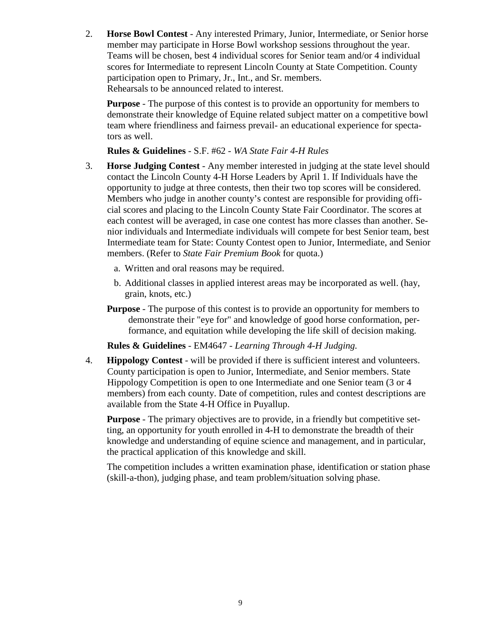2. **Horse Bowl Contest** - Any interested Primary, Junior, Intermediate, or Senior horse member may participate in Horse Bowl workshop sessions throughout the year. Teams will be chosen, best 4 individual scores for Senior team and/or 4 individual scores for Intermediate to represent Lincoln County at State Competition. County participation open to Primary, Jr., Int., and Sr. members. Rehearsals to be announced related to interest.

**Purpose** - The purpose of this contest is to provide an opportunity for members to demonstrate their knowledge of Equine related subject matter on a competitive bowl team where friendliness and fairness prevail- an educational experience for spectators as well.

**Rules & Guidelines** - S.F. #62 - *WA State Fair 4-H Rules*

- 3. **Horse Judging Contest** Any member interested in judging at the state level should contact the Lincoln County 4-H Horse Leaders by April 1. If Individuals have the opportunity to judge at three contests, then their two top scores will be considered. Members who judge in another county's contest are responsible for providing official scores and placing to the Lincoln County State Fair Coordinator. The scores at each contest will be averaged, in case one contest has more classes than another. Senior individuals and Intermediate individuals will compete for best Senior team, best Intermediate team for State: County Contest open to Junior, Intermediate, and Senior members. (Refer to *State Fair Premium Book* for quota.)
	- a. Written and oral reasons may be required.
	- b. Additional classes in applied interest areas may be incorporated as well. (hay, grain, knots, etc.)
	- **Purpose** The purpose of this contest is to provide an opportunity for members to demonstrate their "eye for" and knowledge of good horse conformation, performance, and equitation while developing the life skill of decision making.

**Rules & Guidelines** - EM4647 - *Learning Through 4-H Judging.*

4. **Hippology Contest** - will be provided if there is sufficient interest and volunteers. County participation is open to Junior, Intermediate, and Senior members. State Hippology Competition is open to one Intermediate and one Senior team (3 or 4 members) from each county. Date of competition, rules and contest descriptions are available from the State 4-H Office in Puyallup.

**Purpose** - The primary objectives are to provide, in a friendly but competitive setting, an opportunity for youth enrolled in 4-H to demonstrate the breadth of their knowledge and understanding of equine science and management, and in particular, the practical application of this knowledge and skill.

The competition includes a written examination phase, identification or station phase (skill-a-thon), judging phase, and team problem/situation solving phase.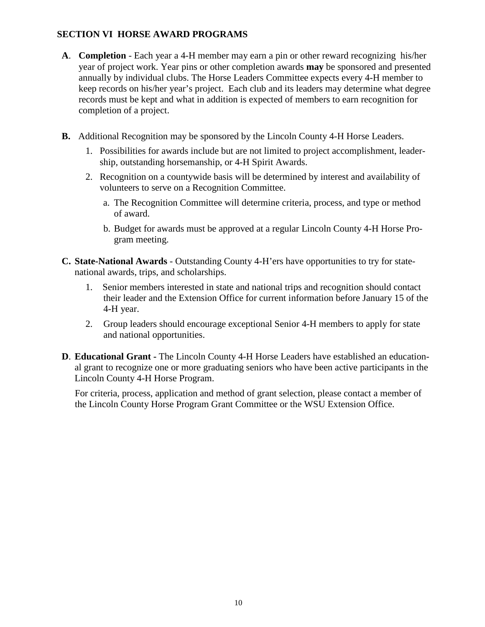# **SECTION VI HORSE AWARD PROGRAMS**

- **A**. **Completion** Each year a 4-H member may earn a pin or other reward recognizing his/her year of project work. Year pins or other completion awards **may** be sponsored and presented annually by individual clubs. The Horse Leaders Committee expects every 4-H member to keep records on his/her year's project. Each club and its leaders may determine what degree records must be kept and what in addition is expected of members to earn recognition for completion of a project.
- **B.** Additional Recognition may be sponsored by the Lincoln County 4-H Horse Leaders.
	- 1. Possibilities for awards include but are not limited to project accomplishment, leadership, outstanding horsemanship, or 4-H Spirit Awards.
	- 2. Recognition on a countywide basis will be determined by interest and availability of volunteers to serve on a Recognition Committee.
		- a. The Recognition Committee will determine criteria, process, and type or method of award.
		- b. Budget for awards must be approved at a regular Lincoln County 4-H Horse Program meeting.
- **C. State-National Awards** Outstanding County 4-H'ers have opportunities to try for statenational awards, trips, and scholarships.
	- 1. Senior members interested in state and national trips and recognition should contact their leader and the Extension Office for current information before January 15 of the 4-H year.
	- 2. Group leaders should encourage exceptional Senior 4-H members to apply for state and national opportunities.
- **D**. **Educational Grant -** The Lincoln County 4-H Horse Leaders have established an educational grant to recognize one or more graduating seniors who have been active participants in the Lincoln County 4-H Horse Program.

For criteria, process, application and method of grant selection, please contact a member of the Lincoln County Horse Program Grant Committee or the WSU Extension Office.